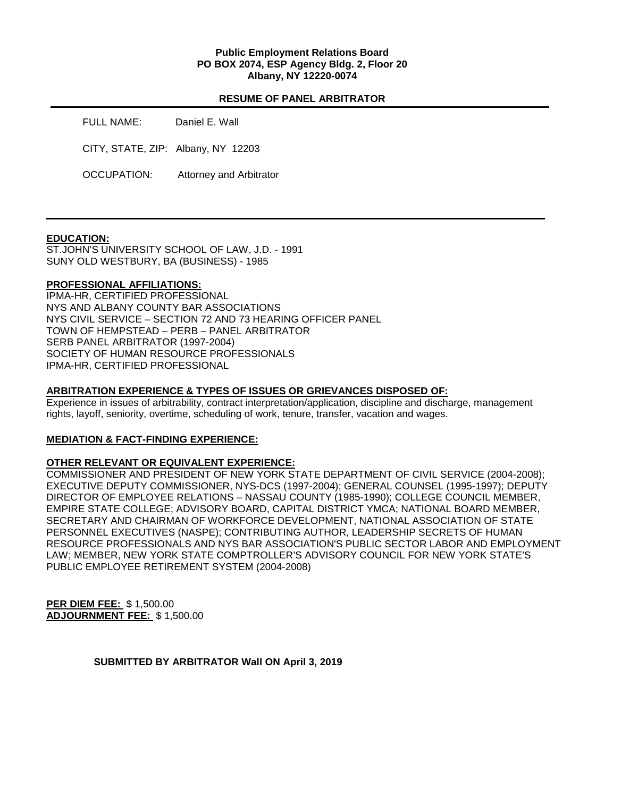### **Public Employment Relations Board PO BOX 2074, ESP Agency Bldg. 2, Floor 20 Albany, NY 12220-0074**

## **RESUME OF PANEL ARBITRATOR**

FULL NAME: Daniel E. Wall CITY, STATE, ZIP: Albany, NY 12203 OCCUPATION: Attorney and Arbitrator

### **EDUCATION:**

ST.JOHN'S UNIVERSITY SCHOOL OF LAW, J.D. - 1991 SUNY OLD WESTBURY, BA (BUSINESS) - 1985

### **PROFESSIONAL AFFILIATIONS:**

IPMA-HR, CERTIFIED PROFESSIONAL NYS AND ALBANY COUNTY BAR ASSOCIATIONS NYS CIVIL SERVICE – SECTION 72 AND 73 HEARING OFFICER PANEL TOWN OF HEMPSTEAD – PERB – PANEL ARBITRATOR SERB PANEL ARBITRATOR (1997-2004) SOCIETY OF HUMAN RESOURCE PROFESSIONALS IPMA-HR, CERTIFIED PROFESSIONAL

#### **ARBITRATION EXPERIENCE & TYPES OF ISSUES OR GRIEVANCES DISPOSED OF:**

Experience in issues of arbitrability, contract interpretation/application, discipline and discharge, management rights, layoff, seniority, overtime, scheduling of work, tenure, transfer, vacation and wages.

### **MEDIATION & FACT-FINDING EXPERIENCE:**

### **OTHER RELEVANT OR EQUIVALENT EXPERIENCE:**

COMMISSIONER AND PRESIDENT OF NEW YORK STATE DEPARTMENT OF CIVIL SERVICE (2004-2008); EXECUTIVE DEPUTY COMMISSIONER, NYS-DCS (1997-2004); GENERAL COUNSEL (1995-1997); DEPUTY DIRECTOR OF EMPLOYEE RELATIONS – NASSAU COUNTY (1985-1990); COLLEGE COUNCIL MEMBER, EMPIRE STATE COLLEGE; ADVISORY BOARD, CAPITAL DISTRICT YMCA; NATIONAL BOARD MEMBER, SECRETARY AND CHAIRMAN OF WORKFORCE DEVELOPMENT, NATIONAL ASSOCIATION OF STATE PERSONNEL EXECUTIVES (NASPE); CONTRIBUTING AUTHOR, LEADERSHIP SECRETS OF HUMAN RESOURCE PROFESSIONALS AND NYS BAR ASSOCIATION'S PUBLIC SECTOR LABOR AND EMPLOYMENT LAW; MEMBER, NEW YORK STATE COMPTROLLER'S ADVISORY COUNCIL FOR NEW YORK STATE'S PUBLIC EMPLOYEE RETIREMENT SYSTEM (2004-2008)

**PER DIEM FEE:** \$ 1,500.00 **ADJOURNMENT FEE:** \$ 1,500.00

**SUBMITTED BY ARBITRATOR Wall ON April 3, 2019**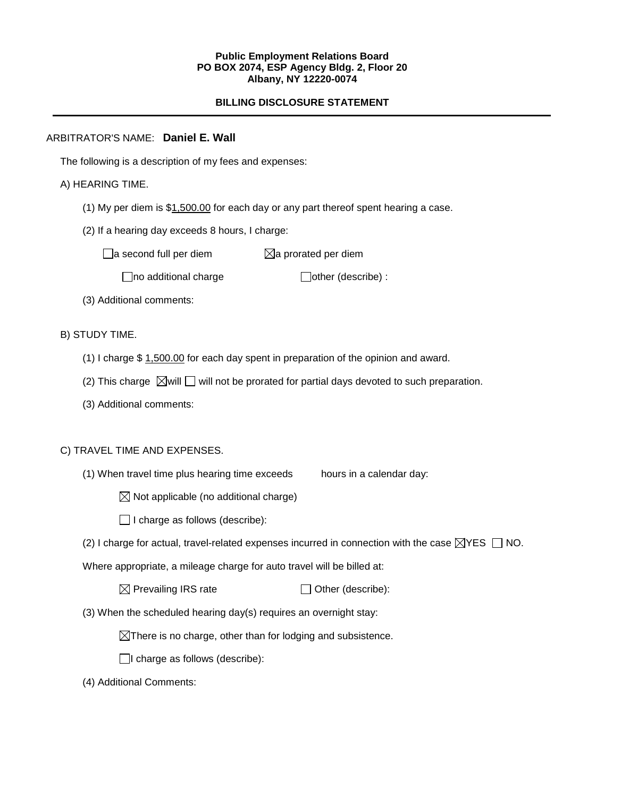### **Public Employment Relations Board PO BOX 2074, ESP Agency Bldg. 2, Floor 20 Albany, NY 12220-0074**

# **BILLING DISCLOSURE STATEMENT**

## ARBITRATOR'S NAME: **Daniel E. Wall**

The following is a description of my fees and expenses:

## A) HEARING TIME.

- (1) My per diem is  $$1,500.00$  for each day or any part thereof spent hearing a case.
- (2) If a hearing day exceeds 8 hours, I charge:

 $\Box$ a second full per diem  $\boxtimes$ a prorated per diem

 $\Box$ no additional charge  $\Box$ other (describe) :

(3) Additional comments:

B) STUDY TIME.

- (1) I charge \$ 1,500.00 for each day spent in preparation of the opinion and award.
- (2) This charge  $\boxtimes$  will  $\Box$  will not be prorated for partial days devoted to such preparation.
- (3) Additional comments:

### C) TRAVEL TIME AND EXPENSES.

(1) When travel time plus hearing time exceeds hours in a calendar day:

 $\boxtimes$  Not applicable (no additional charge)

 $\Box$  I charge as follows (describe):

(2) I charge for actual, travel-related expenses incurred in connection with the case  $\boxtimes$ YES  $\Box$  NO.

Where appropriate, a mileage charge for auto travel will be billed at:

 $\boxtimes$  Prevailing IRS rate  $\Box$  Other (describe):

(3) When the scheduled hearing day(s) requires an overnight stay:

 $\boxtimes$ There is no charge, other than for lodging and subsistence.

 $\Box$ I charge as follows (describe):

(4) Additional Comments: